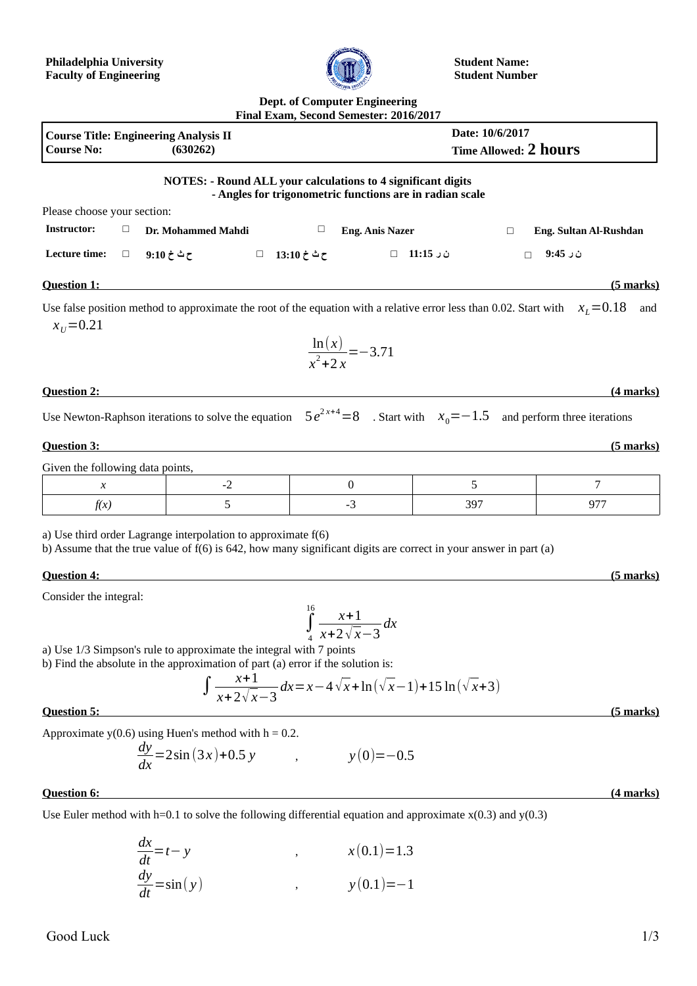

**Student Name: Student Number**

## **Dept. of Computer Engineering Final Exam, Second Semester: 2016/2017**

| <b>Course Title: Engineering Analysis II</b><br><b>Course No:</b><br>(630262)                                                                             |        |                                                                     |  | Date: 10/6/2017<br>Time Allowed: 2 hours |                                 |                                                          |                        |  |
|-----------------------------------------------------------------------------------------------------------------------------------------------------------|--------|---------------------------------------------------------------------|--|------------------------------------------|---------------------------------|----------------------------------------------------------|------------------------|--|
|                                                                                                                                                           |        | <b>NOTES: - Round ALL your calculations to 4 significant digits</b> |  |                                          |                                 | - Angles for trigonometric functions are in radian scale |                        |  |
| Please choose your section:                                                                                                                               |        |                                                                     |  |                                          |                                 |                                                          |                        |  |
| <b>Instructor:</b>                                                                                                                                        | $\Box$ | Dr. Mohammed Mahdi                                                  |  | $\Box$                                   | <b>Eng. Anis Nazer</b>          | $\Box$                                                   | Eng. Sultan Al-Rushdan |  |
| Lecture time:                                                                                                                                             | $\Box$ |                                                                     |  |                                          |                                 | ن ر 11:15 □                                              | ن ر 9:45<br>$\Box$     |  |
| <b>Question 1:</b>                                                                                                                                        |        |                                                                     |  |                                          |                                 |                                                          | (5 marks)              |  |
| Use false position method to approximate the root of the equation with a relative error less than 0.02. Start with $x_L = 0.18$<br>and<br>$x_{11} = 0.21$ |        |                                                                     |  |                                          |                                 |                                                          |                        |  |
|                                                                                                                                                           |        |                                                                     |  |                                          | $\frac{\ln(x)}{x^2+2x}$ = -3.71 |                                                          |                        |  |
| <b>Question 2:</b>                                                                                                                                        |        |                                                                     |  |                                          |                                 |                                                          | (4 marks)              |  |
| Use Newton-Raphson iterations to solve the equation $5e^{2x+4}=8$ . Start with $x_0=-1.5$ and perform three iterations                                    |        |                                                                     |  |                                          |                                 |                                                          |                        |  |
| <b>Question 3:</b>                                                                                                                                        |        |                                                                     |  |                                          |                                 |                                                          | $(5$ marks)            |  |
| Given the following data points,                                                                                                                          |        |                                                                     |  |                                          |                                 |                                                          |                        |  |
| $\chi$                                                                                                                                                    |        | $-2$                                                                |  |                                          | $\bf{0}$                        | 5                                                        | 7                      |  |
| f(x)                                                                                                                                                      |        | 5                                                                   |  |                                          | $-3$                            | 397                                                      | 977                    |  |

a) Use third order Lagrange interpolation to approximate f(6)

b) Assume that the true value of  $f(6)$  is 642, how many significant digits are correct in your answer in part (a)

## **Question 4: (5 marks)**

Consider the integral:

 $\int\limits_{4}$  $\int_{16}^{16} x + 1$ *x*+2√ *x*−3 *dx*

a) Use 1/3 Simpson's rule to approximate the integral with 7 points

b) Find the absolute in the approximation of part (a) error if the solution is:

$$
\int \frac{x+1}{x+2\sqrt{x-3}} dx = x - 4\sqrt{x} + \ln(\sqrt{x-1}) + 15\ln(\sqrt{x+3})
$$
\nQuestion 5:

\n(5 marks)

Approximate  $y(0.6)$  using Huen's method with  $h = 0.2$ .

$$
\frac{dy}{dx} = 2\sin(3x) + 0.5 y \qquad , \qquad y(0) = -0.5
$$

## **Question 6: (4 marks)**

Use Euler method with h=0.1 to solve the following differential equation and approximate  $x(0.3)$  and  $y(0.3)$ 

$$
\frac{dx}{dt} = t - y
$$
  
\n
$$
\frac{dy}{dt} = \sin(y)
$$
  
\n
$$
x(0.1) = 1.3
$$
  
\n
$$
y(0.1) = -1
$$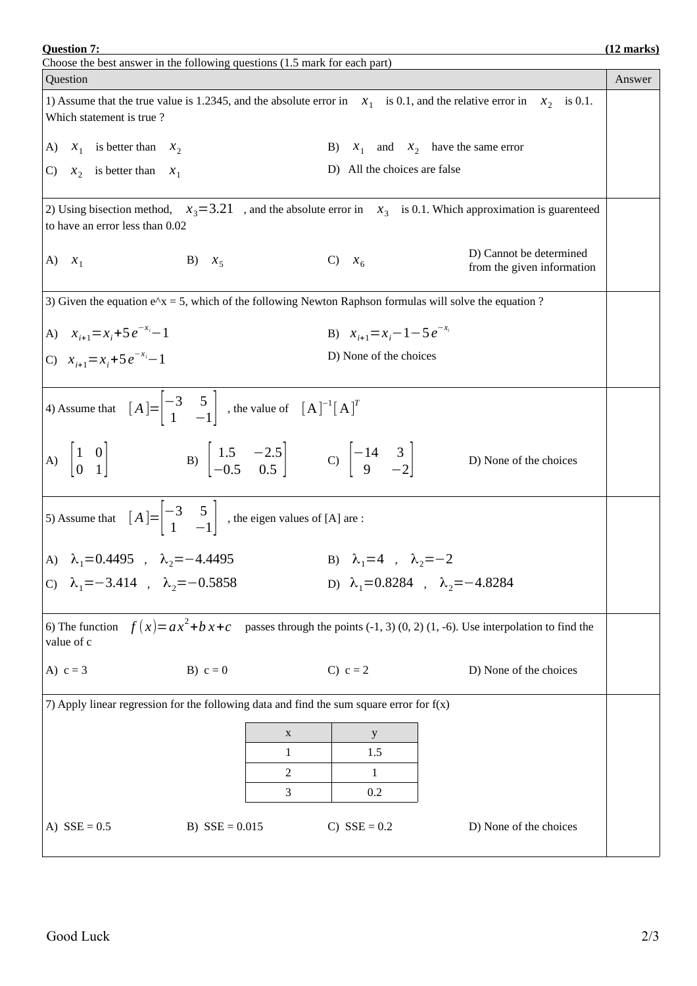Question Answer 1) Assume that the true value is 1.2345, and the absolute error in  $x_1$  is 0.1, and the relative error in  $x_2$  is 0.1. Which statement is true ? A)  $x_1$  is better than  $x_2$  B)  $x_1$ and  $x_2$  have the same error C)  $X_2$  is better than  $X_1$ D) All the choices are false 2) Using bisection method,  $x_3 = 3.21$ , and the absolute error in  $x_3$  is 0.1. Which approximation is guarenteed to have an error less than 0.02 A)  $x_1$  B)  $x_5$  C)  $x_6$ D) Cannot be determined from the given information 3) Given the equation  $e^x = 5$ , which of the following Newton Raphson formulas will solve the equation ? A)  $x_{i+1} = x_i + 5e^{-x_i} - 1$  $\mathbf{B}$   $x_{i+1} = x_i - 1 - 5e^{-x_i}$ C)  $x_{i+1} = x_i + 5e^{-x_i} - 1$ <sup>−</sup>*xi*−1 D) None of the choices 4) Assume that  $[A] = \begin{vmatrix} -3 & 5 \\ 1 & -1 \end{vmatrix}$  $\begin{bmatrix} -3 & 5 \ 1 & -1 \end{bmatrix}$  , the value of  $[A]^{-1}[A]^T$ A)  $\begin{vmatrix} 1 & 0 \\ 0 & 1 \end{vmatrix}$  $\begin{array}{c|cc} 1 & 0 \\ 0 & 1 \end{array}$  B)  $\begin{array}{c|cc} 1.5 & -2.5 \\ -0.5 & 0.5 \end{array}$  $\begin{array}{ccc|c} 1.5 & -2.5 & \text{C} \\ -0.5 & 0.5 & \text{C} \end{array}$   $\begin{array}{ccc|c} -14 & 3 \\ 9 & -2.5 & \text{C} \end{array}$  $\begin{array}{c|c}\n 9 & -2\n \end{array}$  D) None of the choices 5) Assume that  $[A] = \begin{vmatrix} -3 & 5 \\ 1 & -1 \end{vmatrix}$  $\begin{bmatrix} 1 & -1 \end{bmatrix}$ , the eigen values of [A] are : A)  $\lambda_1=0.4495$ ,  $\lambda_2=-4.4495$  B)  $\lambda_1=4$ ,  $\lambda_2=-2$ C)  $\lambda_1 = -3.414$ ,  $\lambda_2 = -0.5858$  D)  $\lambda_1 = 0.8284$ ,  $\lambda_2 = -4.8284$ 6) The function  $f(x)=ax^2+bx+c$  passes through the points (-1, 3) (0, 2) (1, -6). Use interpolation to find the value of c A)  $c = 3$  B)  $c = 0$  C)  $c = 2$  D) None of the choices 7) Apply linear regression for the following data and find the sum square error for  $f(x)$ x  $y$ 1 1.5 2 1 3 0.2 A)  $SSE = 0.5$  B)  $SSE = 0.015$  C)  $SSE = 0.2$  D) None of the choices

 **Question 7: (12 marks)**

Choose the best answer in the following questions (1.5 mark for each part)